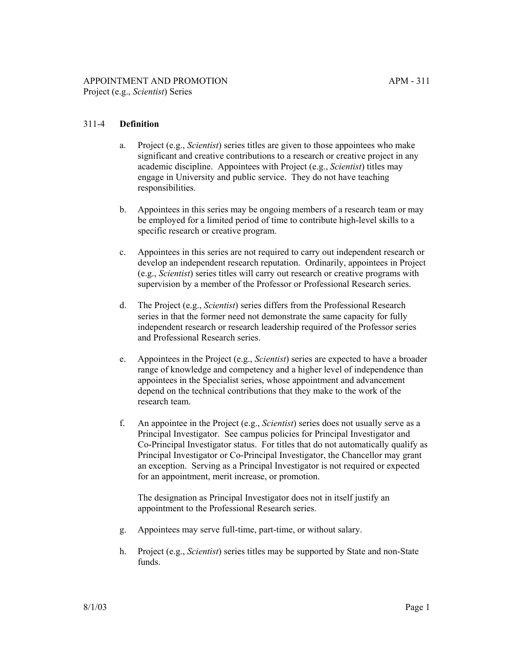# 311-4 **Definition**

- a. Project (e.g., *Scientist*) series titles are given to those appointees who make significant and creative contributions to a research or creative project in any academic discipline. Appointees with Project (e.g., *Scientist*) titles may engage in University and public service. They do not have teaching responsibilities.
- b. Appointees in this series may be ongoing members of a research team or may be employed for a limited period of time to contribute high-level skills to a specific research or creative program.
- c. Appointees in this series are not required to carry out independent research or develop an independent research reputation. Ordinarily, appointees in Project (e.g., *Scientist*) series titles will carry out research or creative programs with supervision by a member of the Professor or Professional Research series.
- d. The Project (e.g., *Scientist*) series differs from the Professional Research series in that the former need not demonstrate the same capacity for fully independent research or research leadership required of the Professor series and Professional Research series.
- e. Appointees in the Project (e.g., *Scientist*) series are expected to have a broader range of knowledge and competency and a higher level of independence than appointees in the Specialist series, whose appointment and advancement depend on the technical contributions that they make to the work of the research team.
- f. An appointee in the Project (e.g., *Scientist*) series does not usually serve as a Principal Investigator. See campus policies for Principal Investigator and Co-Principal Investigator status. For titles that do not automatically qualify as Principal Investigator or Co-Principal Investigator, the Chancellor may grant an exception. Serving as a Principal Investigator is not required or expected for an appointment, merit increase, or promotion.

The designation as Principal Investigator does not in itself justify an appointment to the Professional Research series.

- g. Appointees may serve full-time, part-time, or without salary.
- h. Project (e.g., *Scientist*) series titles may be supported by State and non-State funds.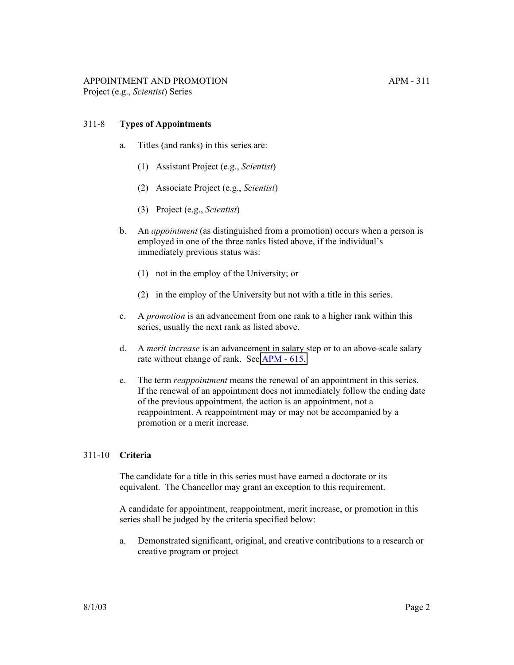### 311-8 **Types of Appointments**

- a. Titles (and ranks) in this series are:
	- (1) Assistant Project (e.g., *Scientist*)
	- (2) Associate Project (e.g., *Scientist*)
	- (3) Project (e.g., *Scientist*)
- b. An *appointment* (as distinguished from a promotion) occurs when a person is employed in one of the three ranks listed above, if the individual's immediately previous status was:
	- (1) not in the employ of the University; or
	- (2) in the employ of the University but not with a title in this series.
- c. A *promotion* is an advancement from one rank to a higher rank within this series, usually the next rank as listed above.
- d. A *merit increase* is an advancement in salary step or to an above-scale salary rate without change of rank. See [APM - 615.](http://ucop.edu/academic-personnel-programs/_files/apm/apm-615.pdf)
- e. The term *reappointment* means the renewal of an appointment in this series. If the renewal of an appointment does not immediately follow the ending date of the previous appointment, the action is an appointment, not a reappointment. A reappointment may or may not be accompanied by a promotion or a merit increase.

#### 311-10 **Criteria**

The candidate for a title in this series must have earned a doctorate or its equivalent. The Chancellor may grant an exception to this requirement.

A candidate for appointment, reappointment, merit increase, or promotion in this series shall be judged by the criteria specified below:

a. Demonstrated significant, original, and creative contributions to a research or creative program or project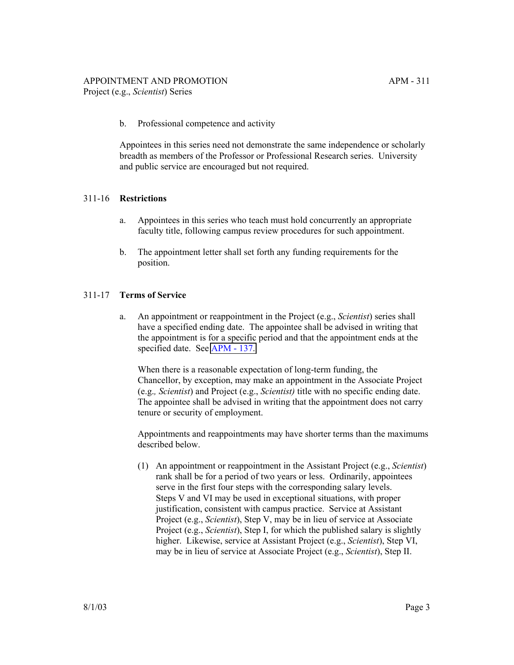b. Professional competence and activity

Appointees in this series need not demonstrate the same independence or scholarly breadth as members of the Professor or Professional Research series. University and public service are encouraged but not required.

# 311-16 **Restrictions**

- a. Appointees in this series who teach must hold concurrently an appropriate faculty title, following campus review procedures for such appointment.
- b. The appointment letter shall set forth any funding requirements for the position.

### 311-17 **Terms of Service**

a. An appointment or reappointment in the Project (e.g., *Scientist*) series shall have a specified ending date. The appointee shall be advised in writing that the appointment is for a specific period and that the appointment ends at the specified date. See [APM - 137.](http://ucop.edu/academic-personnel-programs/_files/apm/apm-137.pdf)

When there is a reasonable expectation of long-term funding, the Chancellor, by exception, may make an appointment in the Associate Project (e.g.*, Scientist*) and Project (e.g., *Scientist)* title with no specific ending date. The appointee shall be advised in writing that the appointment does not carry tenure or security of employment.

Appointments and reappointments may have shorter terms than the maximums described below.

(1) An appointment or reappointment in the Assistant Project (e.g., *Scientist*) rank shall be for a period of two years or less. Ordinarily, appointees serve in the first four steps with the corresponding salary levels. Steps V and VI may be used in exceptional situations, with proper justification, consistent with campus practice. Service at Assistant Project (e.g., *Scientist*), Step V, may be in lieu of service at Associate Project (e.g., *Scientist*), Step I, for which the published salary is slightly higher. Likewise, service at Assistant Project (e.g., *Scientist*), Step VI, may be in lieu of service at Associate Project (e.g., *Scientist*), Step II.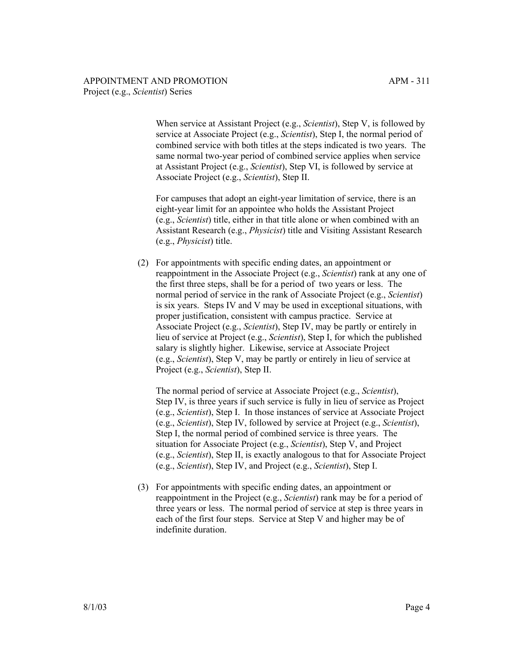When service at Assistant Project (e.g., *Scientist*), Step V, is followed by service at Associate Project (e.g., *Scientist*), Step I, the normal period of combined service with both titles at the steps indicated is two years. The same normal two-year period of combined service applies when service at Assistant Project (e.g., *Scientist*), Step VI, is followed by service at Associate Project (e.g., *Scientist*), Step II.

For campuses that adopt an eight-year limitation of service, there is an eight-year limit for an appointee who holds the Assistant Project (e.g., *Scientist*) title, either in that title alone or when combined with an Assistant Research (e.g., *Physicist*) title and Visiting Assistant Research (e.g., *Physicist*) title.

(2) For appointments with specific ending dates, an appointment or reappointment in the Associate Project (e.g., *Scientist*) rank at any one of the first three steps, shall be for a period of two years or less. The normal period of service in the rank of Associate Project (e.g., *Scientist*) is six years. Steps IV and V may be used in exceptional situations, with proper justification, consistent with campus practice. Service at Associate Project (e.g., *Scientist*), Step IV, may be partly or entirely in lieu of service at Project (e.g., *Scientist*), Step I, for which the published salary is slightly higher. Likewise, service at Associate Project (e.g., *Scientist*), Step V, may be partly or entirely in lieu of service at Project (e.g., *Scientist*), Step II.

The normal period of service at Associate Project (e.g., *Scientist*), Step IV, is three years if such service is fully in lieu of service as Project (e.g., *Scientist*), Step I. In those instances of service at Associate Project (e.g., *Scientist*), Step IV, followed by service at Project (e.g., *Scientist*), Step I, the normal period of combined service is three years. The situation for Associate Project (e.g., *Scientist*), Step V, and Project (e.g., *Scientist*), Step II, is exactly analogous to that for Associate Project (e.g., *Scientist*), Step IV, and Project (e.g., *Scientist*), Step I.

(3) For appointments with specific ending dates, an appointment or reappointment in the Project (e.g., *Scientist*) rank may be for a period of three years or less. The normal period of service at step is three years in each of the first four steps. Service at Step V and higher may be of indefinite duration.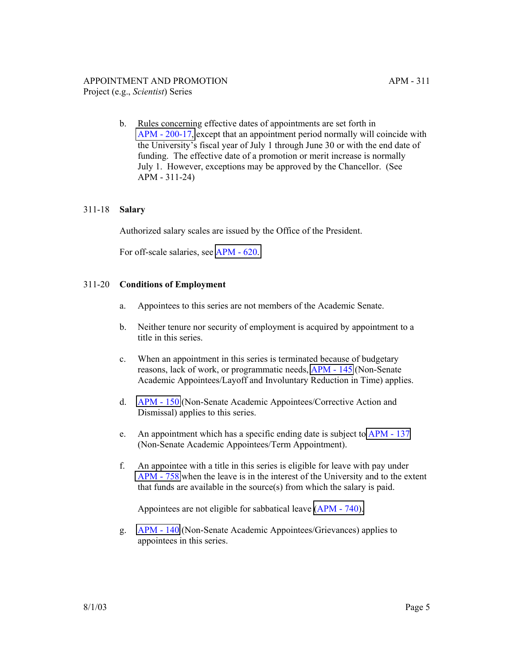b. Rules concerning effective dates of appointments are set forth in [APM - 200-17,](http://ucop.edu/academic-personnel-programs/_files/apm/apm-200.pdf) except that an appointment period normally will coincide with the University's fiscal year of July 1 through June 30 or with the end date of funding. The effective date of a promotion or merit increase is normally July 1. However, exceptions may be approved by the Chancellor. (See APM - 311-24)

### 311-18 **Salary**

Authorized salary scales are issued by the Office of the President.

For off-scale salaries, see [APM - 620.](http://ucop.edu/academic-personnel-programs/_files/apm/apm-620.pdf)

### 311-20 **Conditions of Employment**

- a. Appointees to this series are not members of the Academic Senate.
- b. Neither tenure nor security of employment is acquired by appointment to a title in this series.
- c. When an appointment in this series is terminated because of budgetary reasons, lack of work, or programmatic needs, [APM - 145](http://ucop.edu/academic-personnel-programs/_files/apm/apm-145.pdf) (Non-Senate Academic Appointees/Layoff and Involuntary Reduction in Time) applies.
- d. [APM 150](http://ucop.edu/academic-personnel-programs/_files/apm/apm-150.pdf) (Non-Senate Academic Appointees/Corrective Action and Dismissal) applies to this series.
- e. An appointment which has a specific ending date is subject to [APM 137](http://ucop.edu/academic-personnel-programs/_files/apm/apm-137.pdf) (Non-Senate Academic Appointees/Term Appointment).
- f. An appointee with a title in this series is eligible for leave with pay under [APM - 758](http://ucop.edu/academic-personnel-programs/_files/apm/apm-758.pdf) when the leave is in the interest of the University and to the extent that funds are available in the source(s) from which the salary is paid.

Appointees are not eligible for sabbatical leave [\(APM - 740\).](http://ucop.edu/academic-personnel-programs/_files/apm/apm-740.pdf)

g. [APM - 140](http://ucop.edu/academic-personnel-programs/_files/apm/apm-140.pdf) (Non-Senate Academic Appointees/Grievances) applies to appointees in this series.